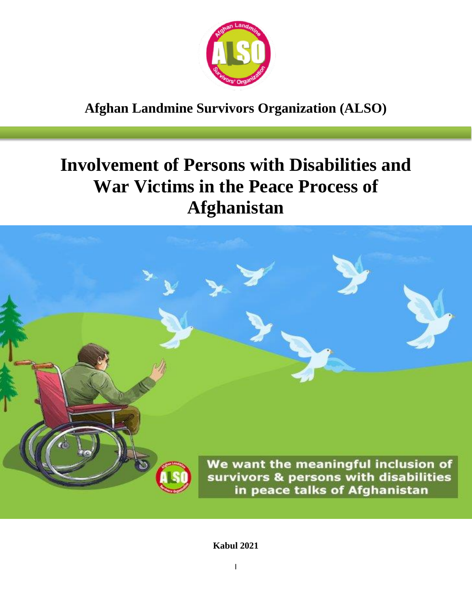

# **Afghan Landmine Survivors Organization (ALSO)**

# **Involvement of Persons with Disabilities and War Victims in the Peace Process of Afghanistan**



**Kabul 2021**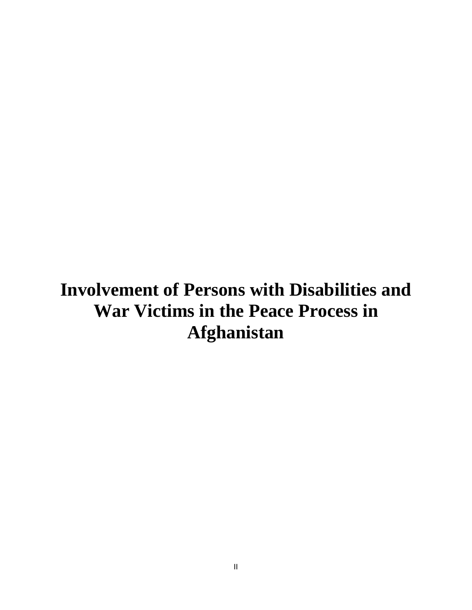# **Involvement of Persons with Disabilities and War Victims in the Peace Process in Afghanistan**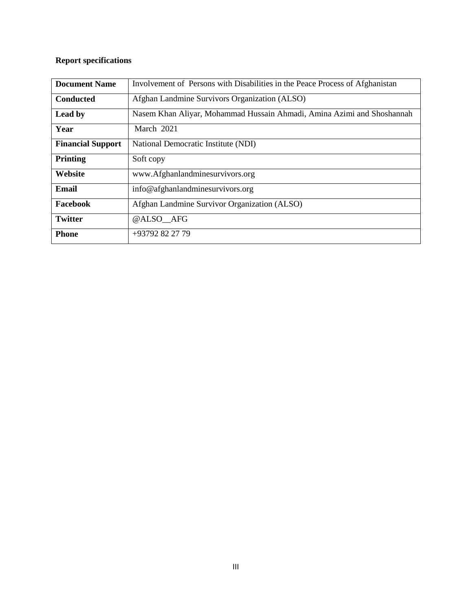#### **Report specifications**

| <b>Document Name</b>     | Involvement of Persons with Disabilities in the Peace Process of Afghanistan |
|--------------------------|------------------------------------------------------------------------------|
| <b>Conducted</b>         | Afghan Landmine Survivors Organization (ALSO)                                |
| Lead by                  | Nasem Khan Aliyar, Mohammad Hussain Ahmadi, Amina Azimi and Shoshannah       |
| Year                     | March 2021                                                                   |
| <b>Financial Support</b> | National Democratic Institute (NDI)                                          |
| <b>Printing</b>          | Soft copy                                                                    |
| Website                  | www.Afghanlandminesurvivors.org                                              |
| Email                    | info@afghanlandminesurvivors.org                                             |
| Facebook                 | Afghan Landmine Survivor Organization (ALSO)                                 |
| <b>Twitter</b>           | @ALSO AFG                                                                    |
| <b>Phone</b>             | +93792 82 27 79                                                              |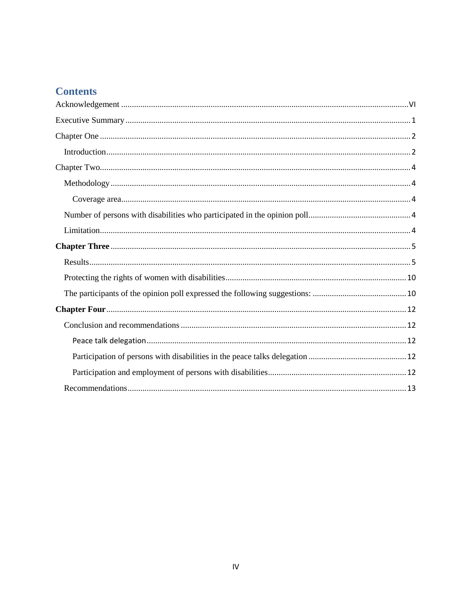### **Contents**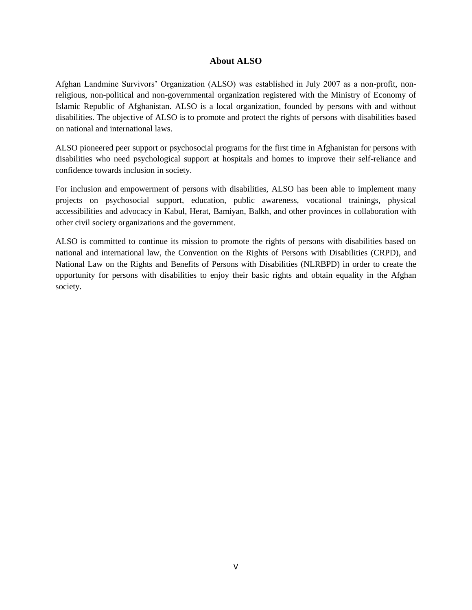#### **About ALSO**

Afghan Landmine Survivors' Organization (ALSO) was established in July 2007 as a non-profit, nonreligious, non-political and non-governmental organization registered with the Ministry of Economy of Islamic Republic of Afghanistan. ALSO is a local organization, founded by persons with and without disabilities. The objective of ALSO is to promote and protect the rights of persons with disabilities based on national and international laws.

ALSO pioneered peer support or psychosocial programs for the first time in Afghanistan for persons with disabilities who need psychological support at hospitals and homes to improve their self-reliance and confidence towards inclusion in society.

For inclusion and empowerment of persons with disabilities, ALSO has been able to implement many projects on psychosocial support, education, public awareness, vocational trainings, physical accessibilities and advocacy in Kabul, Herat, Bamiyan, Balkh, and other provinces in collaboration with other civil society organizations and the government.

ALSO is committed to continue its mission to promote the rights of persons with disabilities based on national and international law, the Convention on the Rights of Persons with Disabilities (CRPD), and National Law on the Rights and Benefits of Persons with Disabilities (NLRBPD) in order to create the opportunity for persons with disabilities to enjoy their basic rights and obtain equality in the Afghan society.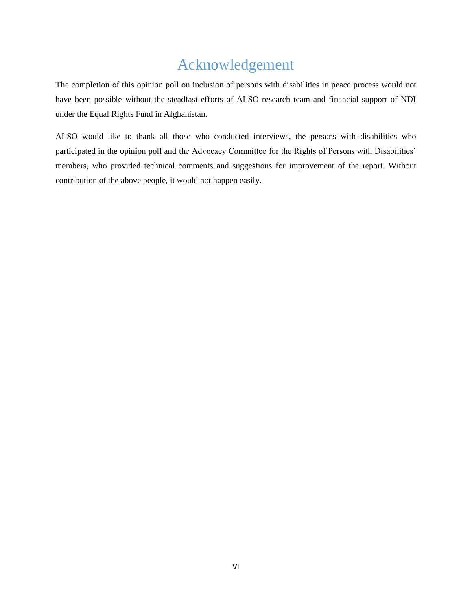# Acknowledgement

<span id="page-5-0"></span>The completion of this opinion poll on inclusion of persons with disabilities in peace process would not have been possible without the steadfast efforts of ALSO research team and financial support of NDI under the Equal Rights Fund in Afghanistan.

ALSO would like to thank all those who conducted interviews, the persons with disabilities who participated in the opinion poll and the Advocacy Committee for the Rights of Persons with Disabilities' members, who provided technical comments and suggestions for improvement of the report. Without contribution of the above people, it would not happen easily.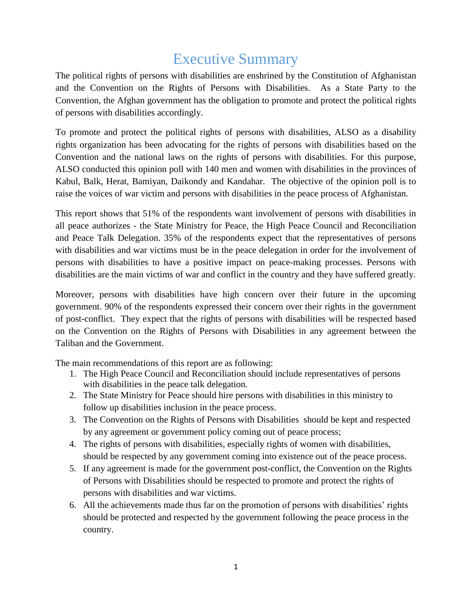# Executive Summary

<span id="page-6-0"></span>The political rights of persons with disabilities are enshrined by the Constitution of Afghanistan and the Convention on the Rights of Persons with Disabilities. As a State Party to the Convention, the Afghan government has the obligation to promote and protect the political rights of persons with disabilities accordingly.

To promote and protect the political rights of persons with disabilities, ALSO as a disability rights organization has been advocating for the rights of persons with disabilities based on the Convention and the national laws on the rights of persons with disabilities. For this purpose, ALSO conducted this opinion poll with 140 men and women with disabilities in the provinces of Kabul, Balk, Herat, Bamiyan, Daikondy and Kandahar. The objective of the opinion poll is to raise the voices of war victim and persons with disabilities in the peace process of Afghanistan.

This report shows that 51% of the respondents want involvement of persons with disabilities in all peace authorizes - the State Ministry for Peace, the High Peace Council and Reconciliation and Peace Talk Delegation. 35% of the respondents expect that the representatives of persons with disabilities and war victims must be in the peace delegation in order for the involvement of persons with disabilities to have a positive impact on peace-making processes. Persons with disabilities are the main victims of war and conflict in the country and they have suffered greatly.

Moreover, persons with disabilities have high concern over their future in the upcoming government. 90% of the respondents expressed their concern over their rights in the government of post-conflict. They expect that the rights of persons with disabilities will be respected based on the Convention on the Rights of Persons with Disabilities in any agreement between the Taliban and the Government.

The main recommendations of this report are as following:

- 1. The High Peace Council and Reconciliation should include representatives of persons with disabilities in the peace talk delegation.
- 2. The State Ministry for Peace should hire persons with disabilities in this ministry to follow up disabilities inclusion in the peace process.
- 3. The Convention on the Rights of Persons with Disabilities should be kept and respected by any agreement or government policy coming out of peace process;
- 4. The rights of persons with disabilities, especially rights of women with disabilities, should be respected by any government coming into existence out of the peace process.
- 5. If any agreement is made for the government post-conflict, the Convention on the Rights of Persons with Disabilities should be respected to promote and protect the rights of persons with disabilities and war victims.
- 6. All the achievements made thus far on the promotion of persons with disabilities' rights should be protected and respected by the government following the peace process in the country.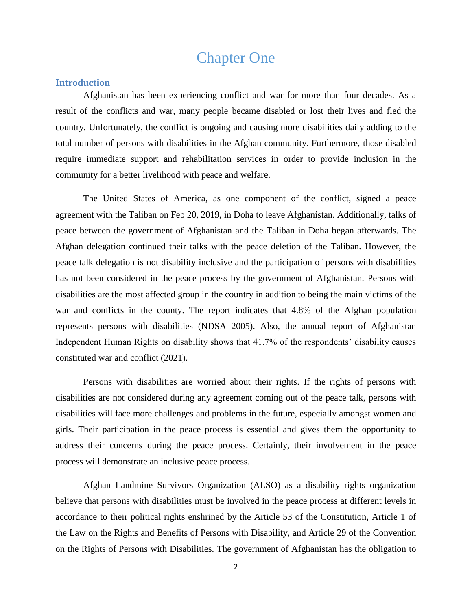### Chapter One

#### <span id="page-7-1"></span><span id="page-7-0"></span>**Introduction**

Afghanistan has been experiencing conflict and war for more than four decades. As a result of the conflicts and war, many people became disabled or lost their lives and fled the country. Unfortunately, the conflict is ongoing and causing more disabilities daily adding to the total number of persons with disabilities in the Afghan community. Furthermore, those disabled require immediate support and rehabilitation services in order to provide inclusion in the community for a better livelihood with peace and welfare.

The United States of America, as one component of the conflict, signed a peace agreement with the Taliban on Feb 20, 2019, in Doha to leave Afghanistan. Additionally, talks of peace between the government of Afghanistan and the Taliban in Doha began afterwards. The Afghan delegation continued their talks with the peace deletion of the Taliban. However, the peace talk delegation is not disability inclusive and the participation of persons with disabilities has not been considered in the peace process by the government of Afghanistan. Persons with disabilities are the most affected group in the country in addition to being the main victims of the war and conflicts in the county. The report indicates that 4.8% of the Afghan population represents persons with disabilities (NDSA 2005). Also, the annual report of Afghanistan Independent Human Rights on disability shows that 41.7% of the respondents' disability causes constituted war and conflict (2021).

Persons with disabilities are worried about their rights. If the rights of persons with disabilities are not considered during any agreement coming out of the peace talk, persons with disabilities will face more challenges and problems in the future, especially amongst women and girls. Their participation in the peace process is essential and gives them the opportunity to address their concerns during the peace process. Certainly, their involvement in the peace process will demonstrate an inclusive peace process.

Afghan Landmine Survivors Organization (ALSO) as a disability rights organization believe that persons with disabilities must be involved in the peace process at different levels in accordance to their political rights enshrined by the Article 53 of the Constitution, Article 1 of the Law on the Rights and Benefits of Persons with Disability, and Article 29 of the Convention on the Rights of Persons with Disabilities. The government of Afghanistan has the obligation to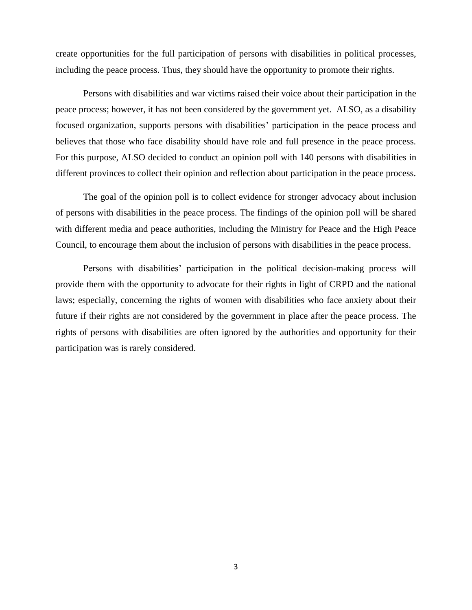create opportunities for the full participation of persons with disabilities in political processes, including the peace process. Thus, they should have the opportunity to promote their rights.

Persons with disabilities and war victims raised their voice about their participation in the peace process; however, it has not been considered by the government yet. ALSO, as a disability focused organization, supports persons with disabilities' participation in the peace process and believes that those who face disability should have role and full presence in the peace process. For this purpose, ALSO decided to conduct an opinion poll with 140 persons with disabilities in different provinces to collect their opinion and reflection about participation in the peace process.

The goal of the opinion poll is to collect evidence for stronger advocacy about inclusion of persons with disabilities in the peace process. The findings of the opinion poll will be shared with different media and peace authorities, including the Ministry for Peace and the High Peace Council, to encourage them about the inclusion of persons with disabilities in the peace process.

Persons with disabilities' participation in the political decision-making process will provide them with the opportunity to advocate for their rights in light of CRPD and the national laws; especially, concerning the rights of women with disabilities who face anxiety about their future if their rights are not considered by the government in place after the peace process. The rights of persons with disabilities are often ignored by the authorities and opportunity for their participation was is rarely considered.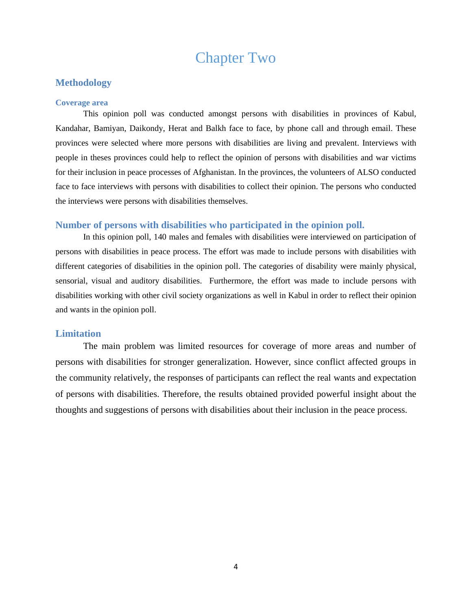## Chapter Two

#### <span id="page-9-1"></span><span id="page-9-0"></span>**Methodology**

#### <span id="page-9-2"></span>**Coverage area**

This opinion poll was conducted amongst persons with disabilities in provinces of Kabul, Kandahar, Bamiyan, Daikondy, Herat and Balkh face to face, by phone call and through email. These provinces were selected where more persons with disabilities are living and prevalent. Interviews with people in theses provinces could help to reflect the opinion of persons with disabilities and war victims for their inclusion in peace processes of Afghanistan. In the provinces, the volunteers of ALSO conducted face to face interviews with persons with disabilities to collect their opinion. The persons who conducted the interviews were persons with disabilities themselves.

#### <span id="page-9-3"></span>**Number of persons with disabilities who participated in the opinion poll.**

In this opinion poll, 140 males and females with disabilities were interviewed on participation of persons with disabilities in peace process. The effort was made to include persons with disabilities with different categories of disabilities in the opinion poll. The categories of disability were mainly physical, sensorial, visual and auditory disabilities. Furthermore, the effort was made to include persons with disabilities working with other civil society organizations as well in Kabul in order to reflect their opinion and wants in the opinion poll.

#### <span id="page-9-4"></span>**Limitation**

The main problem was limited resources for coverage of more areas and number of persons with disabilities for stronger generalization. However, since conflict affected groups in the community relatively, the responses of participants can reflect the real wants and expectation of persons with disabilities. Therefore, the results obtained provided powerful insight about the thoughts and suggestions of persons with disabilities about their inclusion in the peace process.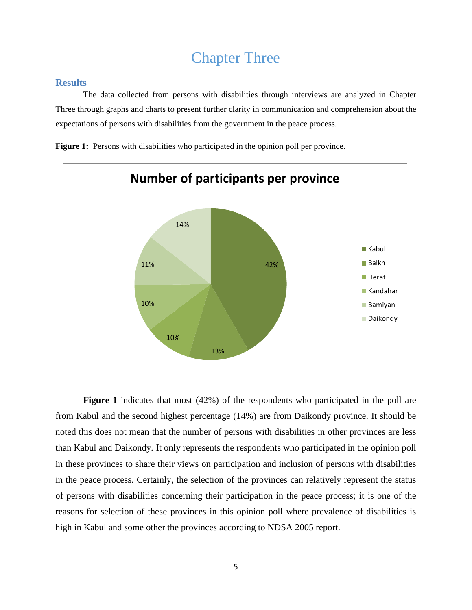## Chapter Three

#### <span id="page-10-1"></span><span id="page-10-0"></span>**Results**

The data collected from persons with disabilities through interviews are analyzed in Chapter Three through graphs and charts to present further clarity in communication and comprehension about the expectations of persons with disabilities from the government in the peace process.

**Figure 1:** Persons with disabilities who participated in the opinion poll per province.



**Figure 1** indicates that most (42%) of the respondents who participated in the poll are from Kabul and the second highest percentage (14%) are from Daikondy province. It should be noted this does not mean that the number of persons with disabilities in other provinces are less than Kabul and Daikondy. It only represents the respondents who participated in the opinion poll in these provinces to share their views on participation and inclusion of persons with disabilities in the peace process. Certainly, the selection of the provinces can relatively represent the status of persons with disabilities concerning their participation in the peace process; it is one of the reasons for selection of these provinces in this opinion poll where prevalence of disabilities is high in Kabul and some other the provinces according to NDSA 2005 report.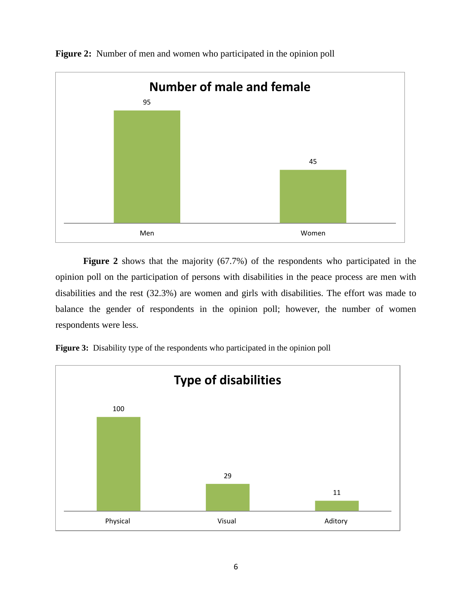

**Figure 2:** Number of men and women who participated in the opinion poll

**Figure 2** shows that the majority (67.7%) of the respondents who participated in the opinion poll on the participation of persons with disabilities in the peace process are men with disabilities and the rest (32.3%) are women and girls with disabilities. The effort was made to balance the gender of respondents in the opinion poll; however, the number of women respondents were less.



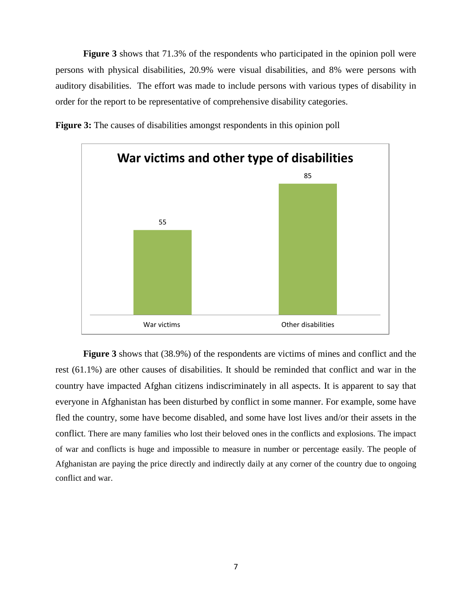**Figure 3** shows that 71.3% of the respondents who participated in the opinion poll were persons with physical disabilities, 20.9% were visual disabilities, and 8% were persons with auditory disabilities. The effort was made to include persons with various types of disability in order for the report to be representative of comprehensive disability categories.





**Figure 3** shows that (38.9%) of the respondents are victims of mines and conflict and the rest (61.1%) are other causes of disabilities. It should be reminded that conflict and war in the country have impacted Afghan citizens indiscriminately in all aspects. It is apparent to say that everyone in Afghanistan has been disturbed by conflict in some manner. For example, some have fled the country, some have become disabled, and some have lost lives and/or their assets in the conflict. There are many families who lost their beloved ones in the conflicts and explosions. The impact of war and conflicts is huge and impossible to measure in number or percentage easily. The people of Afghanistan are paying the price directly and indirectly daily at any corner of the country due to ongoing conflict and war.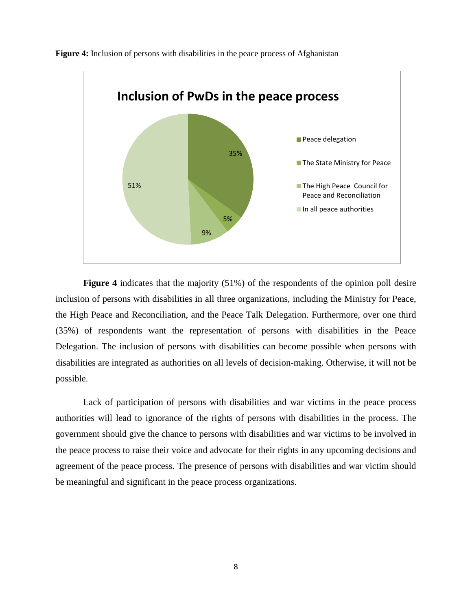

**Figure 4:** Inclusion of persons with disabilities in the peace process of Afghanistan

**Figure 4** indicates that the majority (51%) of the respondents of the opinion poll desire inclusion of persons with disabilities in all three organizations, including the Ministry for Peace, the High Peace and Reconciliation, and the Peace Talk Delegation. Furthermore, over one third (35%) of respondents want the representation of persons with disabilities in the Peace Delegation. The inclusion of persons with disabilities can become possible when persons with disabilities are integrated as authorities on all levels of decision-making. Otherwise, it will not be possible.

Lack of participation of persons with disabilities and war victims in the peace process authorities will lead to ignorance of the rights of persons with disabilities in the process. The government should give the chance to persons with disabilities and war victims to be involved in the peace process to raise their voice and advocate for their rights in any upcoming decisions and agreement of the peace process. The presence of persons with disabilities and war victim should be meaningful and significant in the peace process organizations.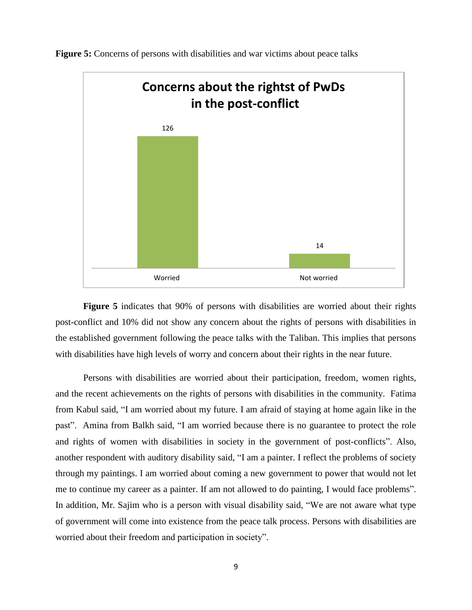

**Figure 5:** Concerns of persons with disabilities and war victims about peace talks

**Figure 5** indicates that 90% of persons with disabilities are worried about their rights post-conflict and 10% did not show any concern about the rights of persons with disabilities in the established government following the peace talks with the Taliban. This implies that persons with disabilities have high levels of worry and concern about their rights in the near future.

Persons with disabilities are worried about their participation, freedom, women rights, and the recent achievements on the rights of persons with disabilities in the community. Fatima from Kabul said, "I am worried about my future. I am afraid of staying at home again like in the past". Amina from Balkh said, "I am worried because there is no guarantee to protect the role and rights of women with disabilities in society in the government of post-conflicts". Also, another respondent with auditory disability said, "I am a painter. I reflect the problems of society through my paintings. I am worried about coming a new government to power that would not let me to continue my career as a painter. If am not allowed to do painting, I would face problems". In addition, Mr. Sajim who is a person with visual disability said, "We are not aware what type of government will come into existence from the peace talk process. Persons with disabilities are worried about their freedom and participation in society".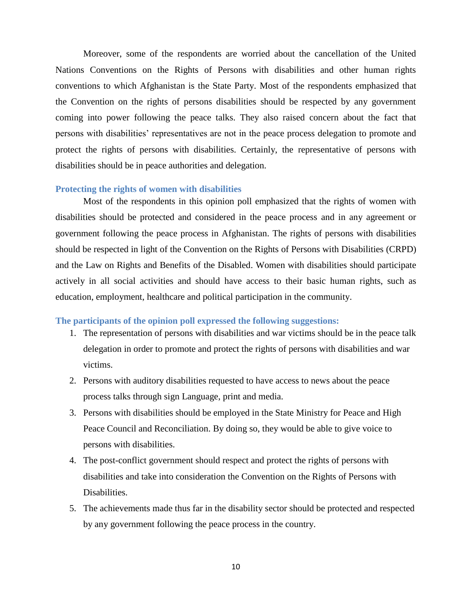Moreover, some of the respondents are worried about the cancellation of the United Nations Conventions on the Rights of Persons with disabilities and other human rights conventions to which Afghanistan is the State Party. Most of the respondents emphasized that the Convention on the rights of persons disabilities should be respected by any government coming into power following the peace talks. They also raised concern about the fact that persons with disabilities' representatives are not in the peace process delegation to promote and protect the rights of persons with disabilities. Certainly, the representative of persons with disabilities should be in peace authorities and delegation.

#### <span id="page-15-0"></span>**Protecting the rights of women with disabilities**

Most of the respondents in this opinion poll emphasized that the rights of women with disabilities should be protected and considered in the peace process and in any agreement or government following the peace process in Afghanistan. The rights of persons with disabilities should be respected in light of the Convention on the Rights of Persons with Disabilities (CRPD) and the Law on Rights and Benefits of the Disabled. Women with disabilities should participate actively in all social activities and should have access to their basic human rights, such as education, employment, healthcare and political participation in the community.

#### <span id="page-15-1"></span>**The participants of the opinion poll expressed the following suggestions:**

- 1. The representation of persons with disabilities and war victims should be in the peace talk delegation in order to promote and protect the rights of persons with disabilities and war victims.
- 2. Persons with auditory disabilities requested to have access to news about the peace process talks through sign Language, print and media.
- 3. Persons with disabilities should be employed in the State Ministry for Peace and High Peace Council and Reconciliation. By doing so, they would be able to give voice to persons with disabilities.
- 4. The post-conflict government should respect and protect the rights of persons with disabilities and take into consideration the Convention on the Rights of Persons with Disabilities.
- 5. The achievements made thus far in the disability sector should be protected and respected by any government following the peace process in the country.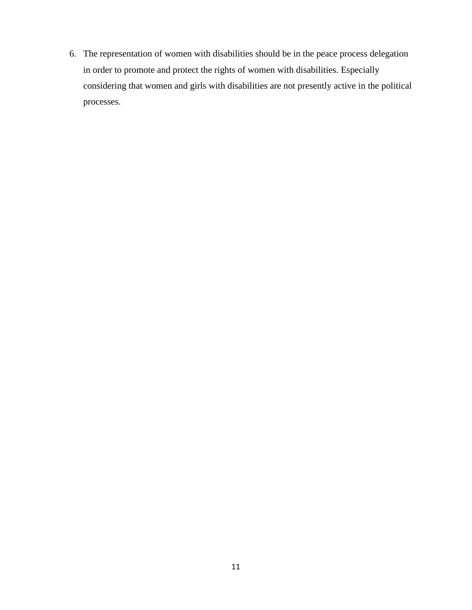6. The representation of women with disabilities should be in the peace process delegation in order to promote and protect the rights of women with disabilities. Especially considering that women and girls with disabilities are not presently active in the political processes.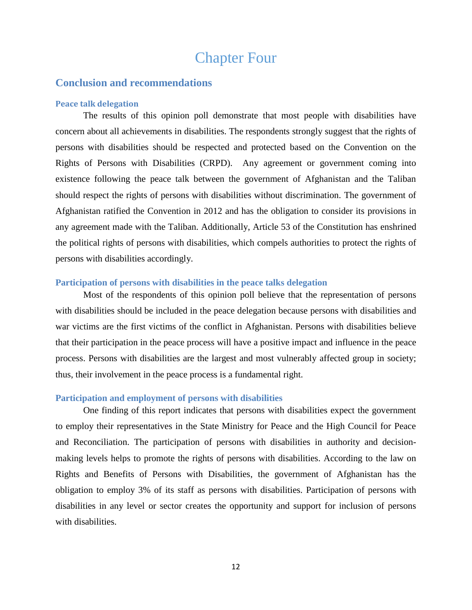## Chapter Four

#### <span id="page-17-1"></span><span id="page-17-0"></span>**Conclusion and recommendations**

#### <span id="page-17-2"></span>**Peace talk delegation**

The results of this opinion poll demonstrate that most people with disabilities have concern about all achievements in disabilities. The respondents strongly suggest that the rights of persons with disabilities should be respected and protected based on the Convention on the Rights of Persons with Disabilities (CRPD). Any agreement or government coming into existence following the peace talk between the government of Afghanistan and the Taliban should respect the rights of persons with disabilities without discrimination. The government of Afghanistan ratified the Convention in 2012 and has the obligation to consider its provisions in any agreement made with the Taliban. Additionally, Article 53 of the Constitution has enshrined the political rights of persons with disabilities, which compels authorities to protect the rights of persons with disabilities accordingly.

#### <span id="page-17-3"></span>**Participation of persons with disabilities in the peace talks delegation**

Most of the respondents of this opinion poll believe that the representation of persons with disabilities should be included in the peace delegation because persons with disabilities and war victims are the first victims of the conflict in Afghanistan. Persons with disabilities believe that their participation in the peace process will have a positive impact and influence in the peace process. Persons with disabilities are the largest and most vulnerably affected group in society; thus, their involvement in the peace process is a fundamental right.

#### <span id="page-17-4"></span>**Participation and employment of persons with disabilities**

One finding of this report indicates that persons with disabilities expect the government to employ their representatives in the State Ministry for Peace and the High Council for Peace and Reconciliation. The participation of persons with disabilities in authority and decisionmaking levels helps to promote the rights of persons with disabilities. According to the law on Rights and Benefits of Persons with Disabilities, the government of Afghanistan has the obligation to employ 3% of its staff as persons with disabilities. Participation of persons with disabilities in any level or sector creates the opportunity and support for inclusion of persons with disabilities.